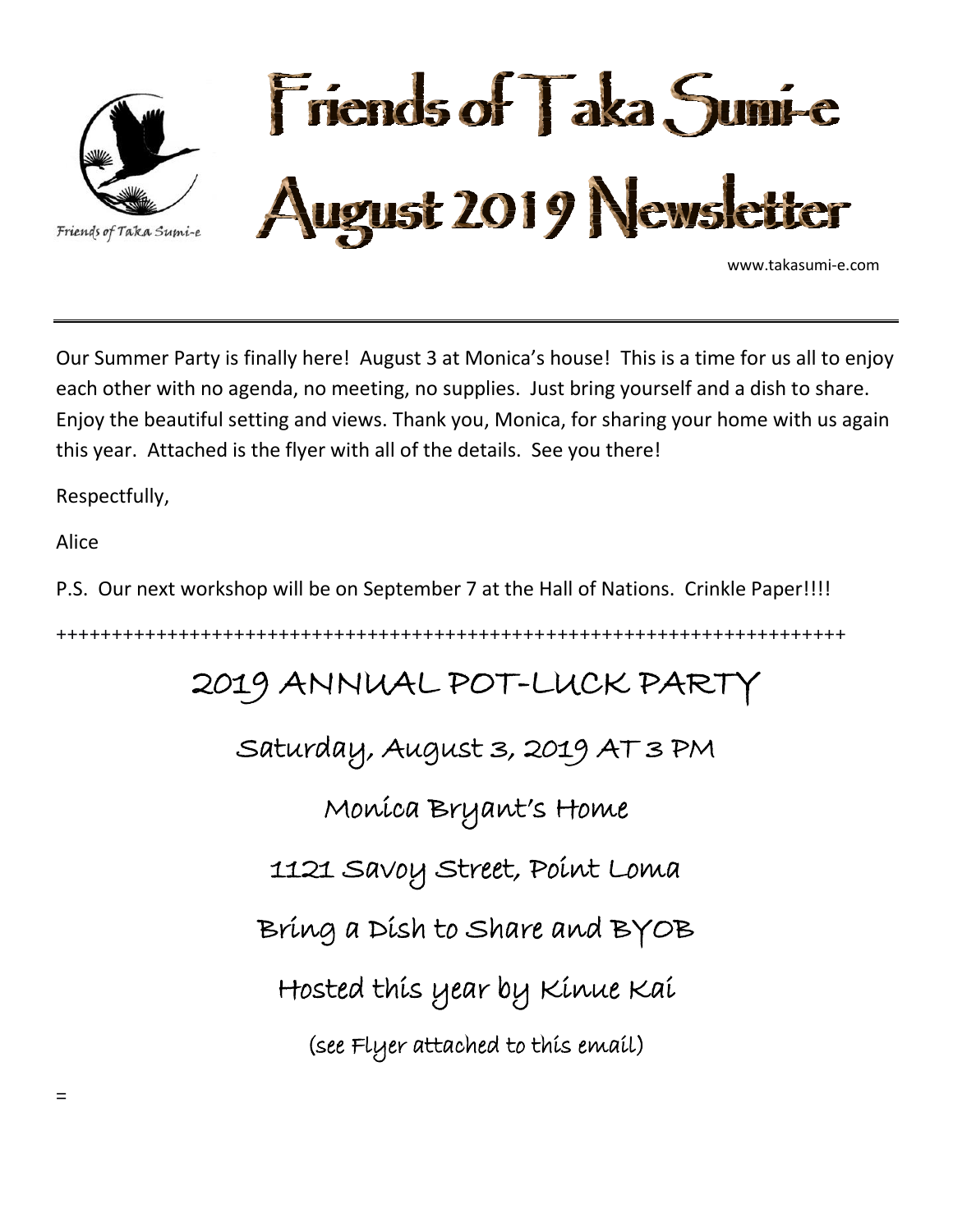

Our Summer Party is finally here! August 3 at Monica's house! This is a time for us all to enjoy each other with no agenda, no meeting, no supplies. Just bring yourself and a dish to share. Enjoy the beautiful setting and views. Thank you, Monica, for sharing your home with us again this year. Attached is the flyer with all of the details. See you there!

Respectfully,

Alice

P.S. Our next workshop will be on September 7 at the Hall of Nations. Crinkle Paper!!!!

+++++++++++++++++++++++++++++++++++++++++++++++++++++++++++++++++++++++

## 2019 ANNUAL POT-LUCK PARTY

Saturday, August 3, 2019 AT 3 PM

Monica Bryant's Home

1121 Savoy Street, Point Loma

Bring a Dish to Share and BYOB

Hosted this year by Kinue Kai

(see Flyer attached to this email)